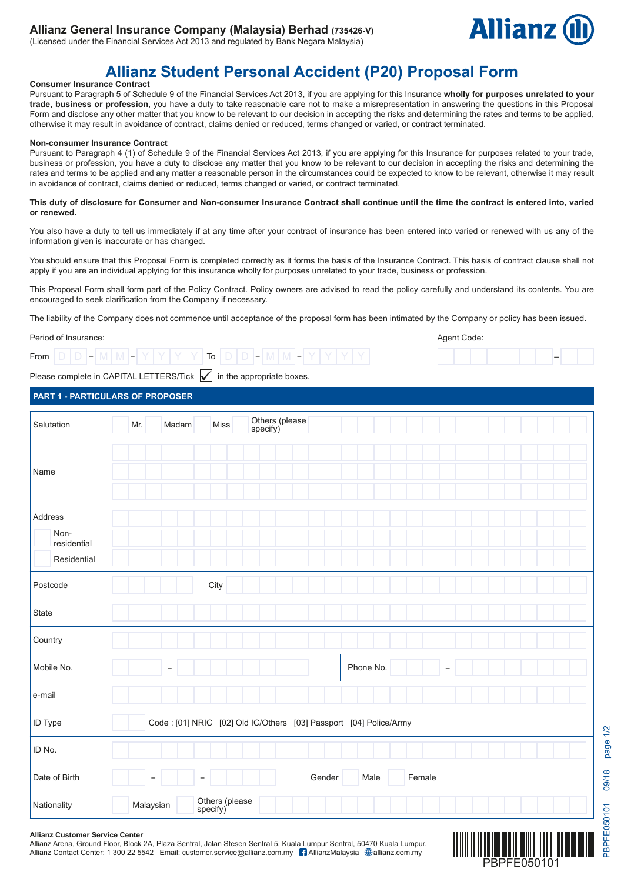## **Allianz General Insurance Company (Malaysia) Berhad (735426-V)**

(Licensed under the Financial Services Act 2013 and regulated by Bank Negara Malaysia)



–

Agent Code:

# **Allianz Student Personal Accident (P20) Proposal Form**

## **Consumer Insurance Contract**

Pursuant to Paragraph 5 of Schedule 9 of the Financial Services Act 2013, if you are applying for this Insurance **wholly for purposes unrelated to your trade, business or profession**, you have a duty to take reasonable care not to make a misrepresentation in answering the questions in this Proposal Form and disclose any other matter that you know to be relevant to our decision in accepting the risks and determining the rates and terms to be applied, otherwise it may result in avoidance of contract, claims denied or reduced, terms changed or varied, or contract terminated.

## **Non-consumer Insurance Contract**

Pursuant to Paragraph 4 (1) of Schedule 9 of the Financial Services Act 2013, if you are applying for this Insurance for purposes related to your trade, business or profession, you have a duty to disclose any matter that you know to be relevant to our decision in accepting the risks and determining the rates and terms to be applied and any matter a reasonable person in the circumstances could be expected to know to be relevant, otherwise it may result in avoidance of contract, claims denied or reduced, terms changed or varied, or contract terminated.

#### **This duty of disclosure for Consumer and Non-consumer Insurance Contract shall continue until the time the contract is entered into, varied or renewed.**

You also have a duty to tell us immediately if at any time after your contract of insurance has been entered into varied or renewed with us any of the information given is inaccurate or has changed.

You should ensure that this Proposal Form is completed correctly as it forms the basis of the Insurance Contract. This basis of contract clause shall not apply if you are an individual applying for this insurance wholly for purposes unrelated to your trade, business or profession.

This Proposal Form shall form part of the Policy Contract. Policy owners are advised to read the policy carefully and understand its contents. You are encouraged to seek clarification from the Company if necessary.

The liability of the Company does not commence until acceptance of the proposal form has been intimated by the Company or policy has been issued.

## Period of Insurance:

|--|

Please complete in CAPITAL LETTERS/Tick  $\sqrt{\ }$  in the appropriate boxes.

## **PART 1 - PARTICULARS OF PROPOSER**

| Salutation                                    | Others (please<br>specify)<br>Madam<br>Miss<br>Mr.                |  |  |  |  |  |  |
|-----------------------------------------------|-------------------------------------------------------------------|--|--|--|--|--|--|
| Name                                          |                                                                   |  |  |  |  |  |  |
| Address<br>Non-<br>residential<br>Residential |                                                                   |  |  |  |  |  |  |
| Postcode                                      | City                                                              |  |  |  |  |  |  |
| State                                         |                                                                   |  |  |  |  |  |  |
| Country                                       |                                                                   |  |  |  |  |  |  |
| Mobile No.                                    | Phone No.<br>$\qquad \qquad -$                                    |  |  |  |  |  |  |
| e-mail                                        |                                                                   |  |  |  |  |  |  |
| ID Type                                       | Code: [01] NRIC [02] Old IC/Others [03] Passport [04] Police/Army |  |  |  |  |  |  |
| ID No.                                        |                                                                   |  |  |  |  |  |  |
| Date of Birth                                 | Gender<br>Male<br>Female                                          |  |  |  |  |  |  |
| Nationality                                   | Others (please<br>specify)<br>Malaysian                           |  |  |  |  |  |  |

#### **Allianz Customer Service Center**

Allianz Arena, Ground Floor, Block 2A, Plaza Sentral, Jalan Stesen Sentral 5, Kuala Lumpur Sentral, 50470 Kuala Lumpur. Allianz Contact Center: 1 300 22 5542 Email: customer.service@allianz.com.my [1 AllianzMalaysia @allianz.com.my